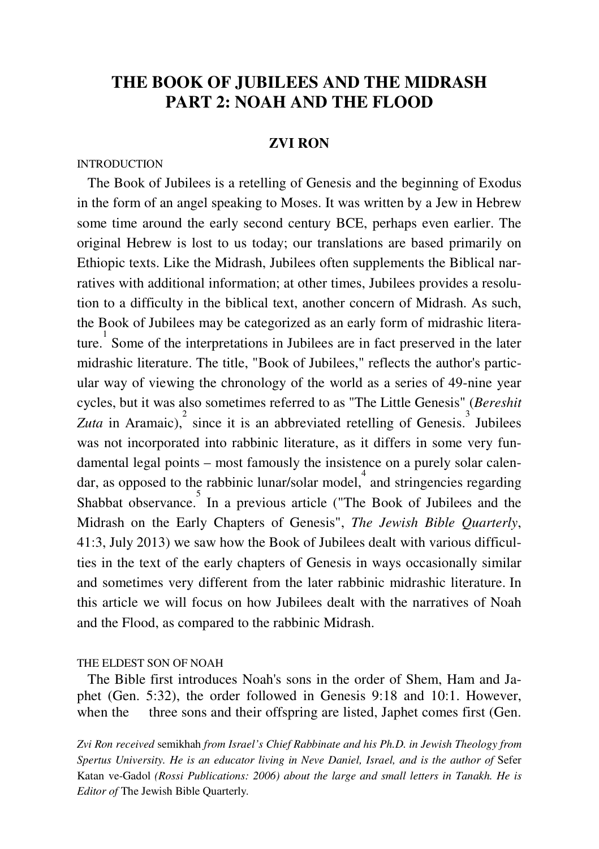# **THE BOOK OF JUBILEES AND THE MIDRASH PART 2: NOAH AND THE FLOOD**

# **ZVI RON**

# INTRODUCTION

 The Book of Jubilees is a retelling of Genesis and the beginning of Exodus in the form of an angel speaking to Moses. It was written by a Jew in Hebrew some time around the early second century BCE, perhaps even earlier. The original Hebrew is lost to us today; our translations are based primarily on Ethiopic texts. Like the Midrash, Jubilees often supplements the Biblical narratives with additional information; at other times, Jubilees provides a resolution to a difficulty in the biblical text, another concern of Midrash. As such, the Book of Jubilees may be categorized as an early form of midrashic literature. 1 Some of the interpretations in Jubilees are in fact preserved in the later midrashic literature. The title, "Book of Jubilees," reflects the author's particular way of viewing the chronology of the world as a series of 49-nine year cycles, but it was also sometimes referred to as "The Little Genesis" (*Bereshit*   $Zuta$  in Aramaic), since it is an abbreviated retelling of Genesis.<sup>3</sup> Jubilees was not incorporated into rabbinic literature, as it differs in some very fundamental legal points – most famously the insistence on a purely solar calendar, as opposed to the rabbinic lunar/solar model, 4 and stringencies regarding Shabbat observance. In a previous article ("The Book of Jubilees and the Midrash on the Early Chapters of Genesis", *The Jewish Bible Quarterly*, 41:3, July 2013) we saw how the Book of Jubilees dealt with various difficulties in the text of the early chapters of Genesis in ways occasionally similar and sometimes very different from the later rabbinic midrashic literature. In this article we will focus on how Jubilees dealt with the narratives of Noah and the Flood, as compared to the rabbinic Midrash.

#### THE ELDEST SON OF NOAH

 The Bible first introduces Noah's sons in the order of Shem, Ham and Japhet (Gen. 5:32), the order followed in Genesis 9:18 and 10:1. However, when the three sons and their offspring are listed, Japhet comes first (Gen.

*Zvi Ron received* semikhah *from Israel's Chief Rabbinate and his Ph.D. in Jewish Theology from*  Spertus University. He is an educator living in Neve Daniel, Israel, and is the author of Sefer Katan ve-Gadol *(Rossi Publications: 2006) about the large and small letters in Tanakh. He is Editor of* The Jewish Bible Quarterly*.*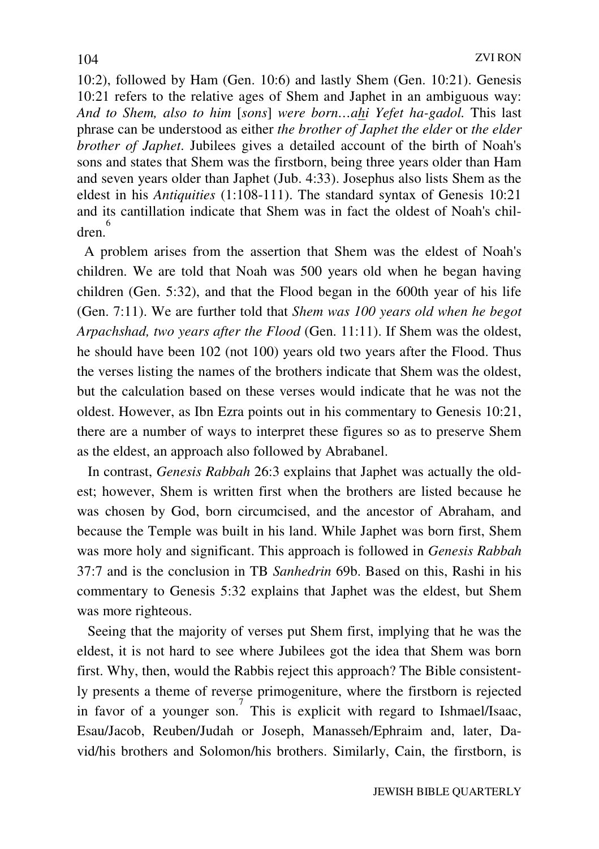10:2), followed by Ham (Gen. 10:6) and lastly Shem (Gen. 10:21). Genesis 10:21 refers to the relative ages of Shem and Japhet in an ambiguous way: *And to Shem, also to him* [*sons*] *were born…ahi Yefet ha-gadol.* This last phrase can be understood as either *the brother of Japhet the elder* or *the elder brother of Japhet*. Jubilees gives a detailed account of the birth of Noah's sons and states that Shem was the firstborn, being three years older than Ham and seven years older than Japhet (Jub. 4:33). Josephus also lists Shem as the eldest in his *Antiquities* (1:108-111). The standard syntax of Genesis 10:21 and its cantillation indicate that Shem was in fact the oldest of Noah's children. 6

 A problem arises from the assertion that Shem was the eldest of Noah's children. We are told that Noah was 500 years old when he began having children (Gen. 5:32), and that the Flood began in the 600th year of his life (Gen. 7:11). We are further told that *Shem was 100 years old when he begot Arpachshad, two years after the Flood* (Gen. 11:11). If Shem was the oldest, he should have been 102 (not 100) years old two years after the Flood. Thus the verses listing the names of the brothers indicate that Shem was the oldest, but the calculation based on these verses would indicate that he was not the oldest. However, as Ibn Ezra points out in his commentary to Genesis 10:21, there are a number of ways to interpret these figures so as to preserve Shem as the eldest, an approach also followed by Abrabanel.

 In contrast, *Genesis Rabbah* 26:3 explains that Japhet was actually the oldest; however, Shem is written first when the brothers are listed because he was chosen by God, born circumcised, and the ancestor of Abraham, and because the Temple was built in his land. While Japhet was born first, Shem was more holy and significant. This approach is followed in *Genesis Rabbah* 37:7 and is the conclusion in TB *Sanhedrin* 69b. Based on this, Rashi in his commentary to Genesis 5:32 explains that Japhet was the eldest, but Shem was more righteous.

 Seeing that the majority of verses put Shem first, implying that he was the eldest, it is not hard to see where Jubilees got the idea that Shem was born first. Why, then, would the Rabbis reject this approach? The Bible consistently presents a theme of reverse primogeniture, where the firstborn is rejected in favor of a younger son. 7 This is explicit with regard to Ishmael/Isaac, Esau/Jacob, Reuben/Judah or Joseph, Manasseh/Ephraim and, later, David/his brothers and Solomon/his brothers. Similarly, Cain, the firstborn, is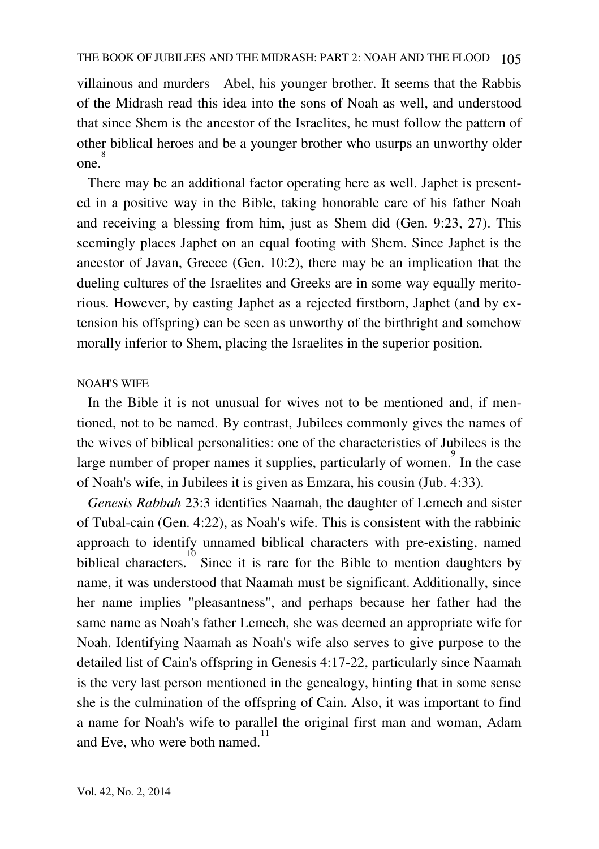villainous and murders Abel, his younger brother. It seems that the Rabbis of the Midrash read this idea into the sons of Noah as well, and understood that since Shem is the ancestor of the Israelites, he must follow the pattern of other biblical heroes and be a younger brother who usurps an unworthy older one. 8

 There may be an additional factor operating here as well. Japhet is presented in a positive way in the Bible, taking honorable care of his father Noah and receiving a blessing from him, just as Shem did (Gen. 9:23, 27). This seemingly places Japhet on an equal footing with Shem. Since Japhet is the ancestor of Javan, Greece (Gen. 10:2), there may be an implication that the dueling cultures of the Israelites and Greeks are in some way equally meritorious. However, by casting Japhet as a rejected firstborn, Japhet (and by extension his offspring) can be seen as unworthy of the birthright and somehow morally inferior to Shem, placing the Israelites in the superior position.

# NOAH'S WIFE

 In the Bible it is not unusual for wives not to be mentioned and, if mentioned, not to be named. By contrast, Jubilees commonly gives the names of the wives of biblical personalities: one of the characteristics of Jubilees is the large number of proper names it supplies, particularly of women.<sup>9</sup> In the case of Noah's wife, in Jubilees it is given as Emzara, his cousin (Jub. 4:33).

 *Genesis Rabbah* 23:3 identifies Naamah, the daughter of Lemech and sister of Tubal-cain (Gen. 4:22), as Noah's wife. This is consistent with the rabbinic approach to identify unnamed biblical characters with pre-existing, named biblical characters. 10 Since it is rare for the Bible to mention daughters by name, it was understood that Naamah must be significant. Additionally, since her name implies "pleasantness", and perhaps because her father had the same name as Noah's father Lemech, she was deemed an appropriate wife for Noah. Identifying Naamah as Noah's wife also serves to give purpose to the detailed list of Cain's offspring in Genesis 4:17-22, particularly since Naamah is the very last person mentioned in the genealogy, hinting that in some sense she is the culmination of the offspring of Cain. Also, it was important to find a name for Noah's wife to parallel the original first man and woman, Adam and Eve, who were both named.<sup>11</sup>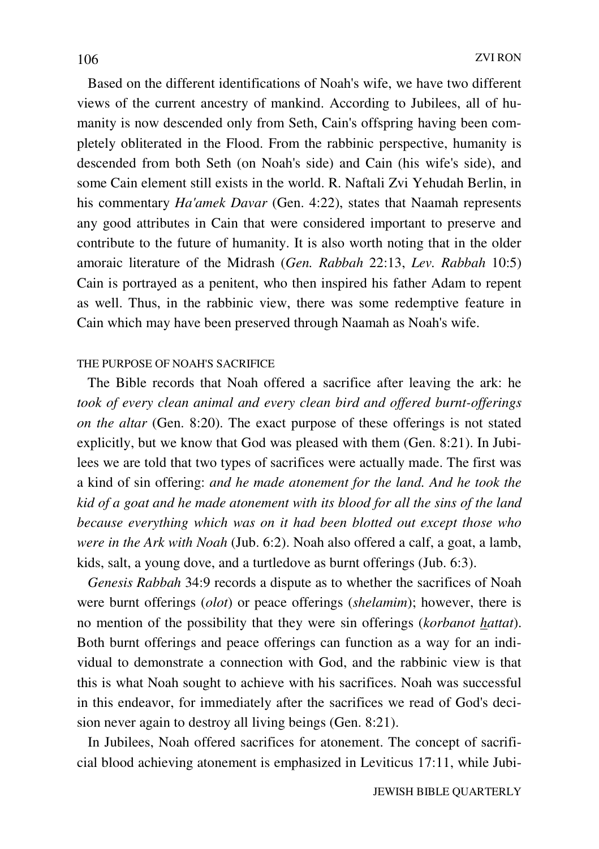Based on the different identifications of Noah's wife, we have two different views of the current ancestry of mankind. According to Jubilees, all of humanity is now descended only from Seth, Cain's offspring having been completely obliterated in the Flood. From the rabbinic perspective, humanity is descended from both Seth (on Noah's side) and Cain (his wife's side), and some Cain element still exists in the world. R. Naftali Zvi Yehudah Berlin, in his commentary *Ha'amek Davar* (Gen. 4:22), states that Naamah represents any good attributes in Cain that were considered important to preserve and contribute to the future of humanity. It is also worth noting that in the older amoraic literature of the Midrash (*Gen. Rabbah* 22:13, *Lev. Rabbah* 10:5) Cain is portrayed as a penitent, who then inspired his father Adam to repent as well. Thus, in the rabbinic view, there was some redemptive feature in Cain which may have been preserved through Naamah as Noah's wife.

# THE PURPOSE OF NOAH'S SACRIFICE

 The Bible records that Noah offered a sacrifice after leaving the ark: he *took of every clean animal and every clean bird and offered burnt-offerings on the altar* (Gen. 8:20). The exact purpose of these offerings is not stated explicitly, but we know that God was pleased with them (Gen. 8:21). In Jubilees we are told that two types of sacrifices were actually made. The first was a kind of sin offering: *and he made atonement for the land. And he took the kid of a goat and he made atonement with its blood for all the sins of the land because everything which was on it had been blotted out except those who were in the Ark with Noah* (Jub. 6:2). Noah also offered a calf, a goat, a lamb, kids, salt, a young dove, and a turtledove as burnt offerings (Jub. 6:3).

 *Genesis Rabbah* 34:9 records a dispute as to whether the sacrifices of Noah were burnt offerings (*olot*) or peace offerings (*shelamim*); however, there is no mention of the possibility that they were sin offerings (*korbanot hattat*). Both burnt offerings and peace offerings can function as a way for an individual to demonstrate a connection with God, and the rabbinic view is that this is what Noah sought to achieve with his sacrifices. Noah was successful in this endeavor, for immediately after the sacrifices we read of God's decision never again to destroy all living beings (Gen. 8:21).

 In Jubilees, Noah offered sacrifices for atonement. The concept of sacrificial blood achieving atonement is emphasized in Leviticus 17:11, while Jubi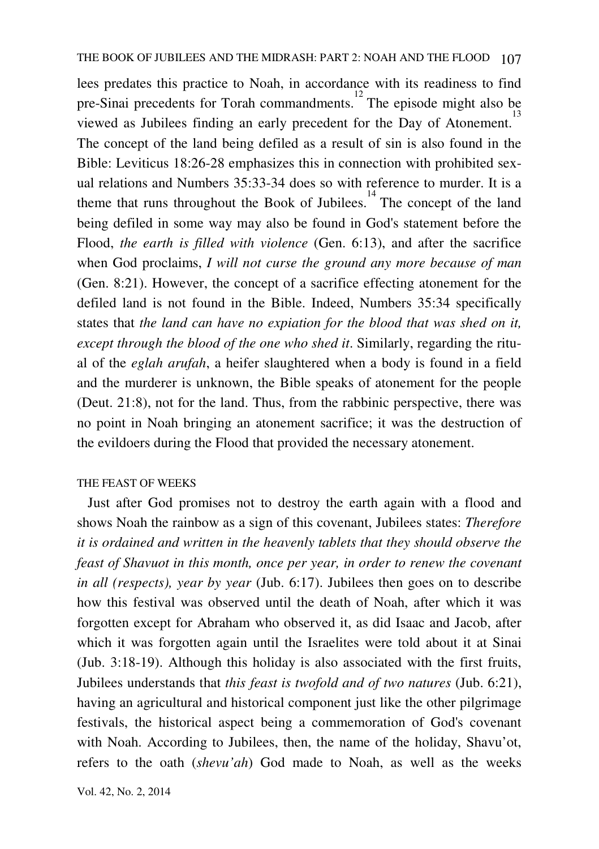lees predates this practice to Noah, in accordance with its readiness to find pre-Sinai precedents for Torah commandments.<sup>12</sup> The episode might also be viewed as Jubilees finding an early precedent for the Day of Atonement.<sup>13</sup> The concept of the land being defiled as a result of sin is also found in the Bible: Leviticus 18:26-28 emphasizes this in connection with prohibited sexual relations and Numbers 35:33-34 does so with reference to murder. It is a theme that runs throughout the Book of Jubilees.<sup>14</sup> The concept of the land being defiled in some way may also be found in God's statement before the Flood, *the earth is filled with violence* (Gen. 6:13), and after the sacrifice when God proclaims, *I will not curse the ground any more because of man* (Gen. 8:21). However, the concept of a sacrifice effecting atonement for the defiled land is not found in the Bible. Indeed, Numbers 35:34 specifically states that *the land can have no expiation for the blood that was shed on it, except through the blood of the one who shed it*. Similarly, regarding the ritual of the *eglah arufah*, a heifer slaughtered when a body is found in a field and the murderer is unknown, the Bible speaks of atonement for the people (Deut. 21:8), not for the land. Thus, from the rabbinic perspective, there was no point in Noah bringing an atonement sacrifice; it was the destruction of the evildoers during the Flood that provided the necessary atonement.

### THE FEAST OF WEEKS

 Just after God promises not to destroy the earth again with a flood and shows Noah the rainbow as a sign of this covenant, Jubilees states: *Therefore it is ordained and written in the heavenly tablets that they should observe the feast of Shavuot in this month, once per year, in order to renew the covenant in all (respects), year by year* (Jub. 6:17). Jubilees then goes on to describe how this festival was observed until the death of Noah, after which it was forgotten except for Abraham who observed it, as did Isaac and Jacob, after which it was forgotten again until the Israelites were told about it at Sinai (Jub. 3:18-19). Although this holiday is also associated with the first fruits, Jubilees understands that *this feast is twofold and of two natures* (Jub. 6:21), having an agricultural and historical component just like the other pilgrimage festivals, the historical aspect being a commemoration of God's covenant with Noah. According to Jubilees, then, the name of the holiday, Shavu'ot, refers to the oath (*shevu'ah*) God made to Noah, as well as the weeks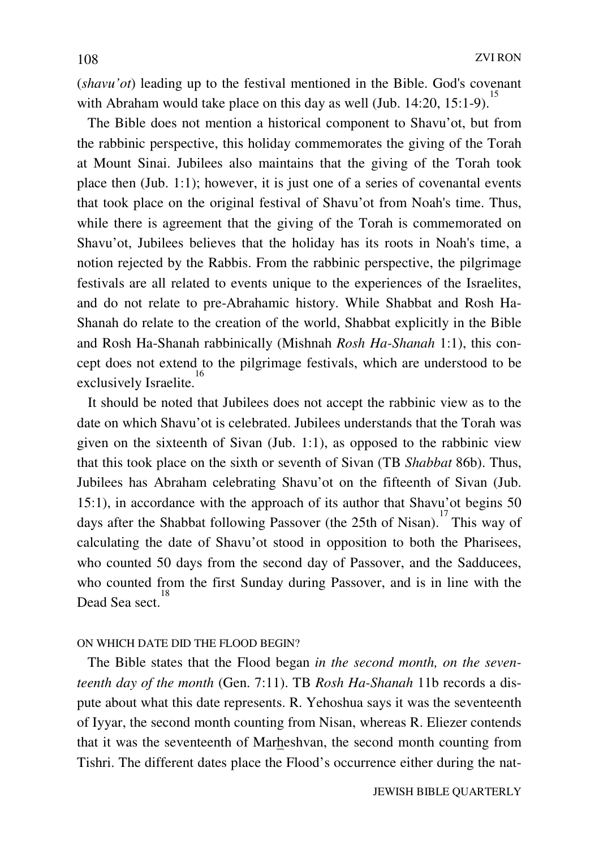(*shavu'ot*) leading up to the festival mentioned in the Bible. God's covenant with Abraham would take place on this day as well (Jub. 14:20, 15:1-9).<sup>15</sup>

 The Bible does not mention a historical component to Shavu'ot, but from the rabbinic perspective, this holiday commemorates the giving of the Torah at Mount Sinai. Jubilees also maintains that the giving of the Torah took place then (Jub. 1:1); however, it is just one of a series of covenantal events that took place on the original festival of Shavu'ot from Noah's time. Thus, while there is agreement that the giving of the Torah is commemorated on Shavu'ot, Jubilees believes that the holiday has its roots in Noah's time, a notion rejected by the Rabbis. From the rabbinic perspective, the pilgrimage festivals are all related to events unique to the experiences of the Israelites, and do not relate to pre-Abrahamic history. While Shabbat and Rosh Ha-Shanah do relate to the creation of the world, Shabbat explicitly in the Bible and Rosh Ha-Shanah rabbinically (Mishnah *Rosh Ha-Shanah* 1:1), this concept does not extend to the pilgrimage festivals, which are understood to be exclusively Israelite. 16

 It should be noted that Jubilees does not accept the rabbinic view as to the date on which Shavu'ot is celebrated. Jubilees understands that the Torah was given on the sixteenth of Sivan (Jub. 1:1), as opposed to the rabbinic view that this took place on the sixth or seventh of Sivan (TB *Shabbat* 86b). Thus, Jubilees has Abraham celebrating Shavu'ot on the fifteenth of Sivan (Jub. 15:1), in accordance with the approach of its author that Shavu'ot begins 50 days after the Shabbat following Passover (the 25th of Nisan). 17 This way of calculating the date of Shavu'ot stood in opposition to both the Pharisees, who counted 50 days from the second day of Passover, and the Sadducees, who counted from the first Sunday during Passover, and is in line with the Dead Sea sect. 18

### ON WHICH DATE DID THE FLOOD BEGIN?

 The Bible states that the Flood began *in the second month, on the seventeenth day of the month* (Gen. 7:11). TB *Rosh Ha-Shanah* 11b records a dispute about what this date represents. R. Yehoshua says it was the seventeenth of Iyyar, the second month counting from Nisan, whereas R. Eliezer contends that it was the seventeenth of Marheshvan, the second month counting from Tishri. The different dates place the Flood's occurrence either during the nat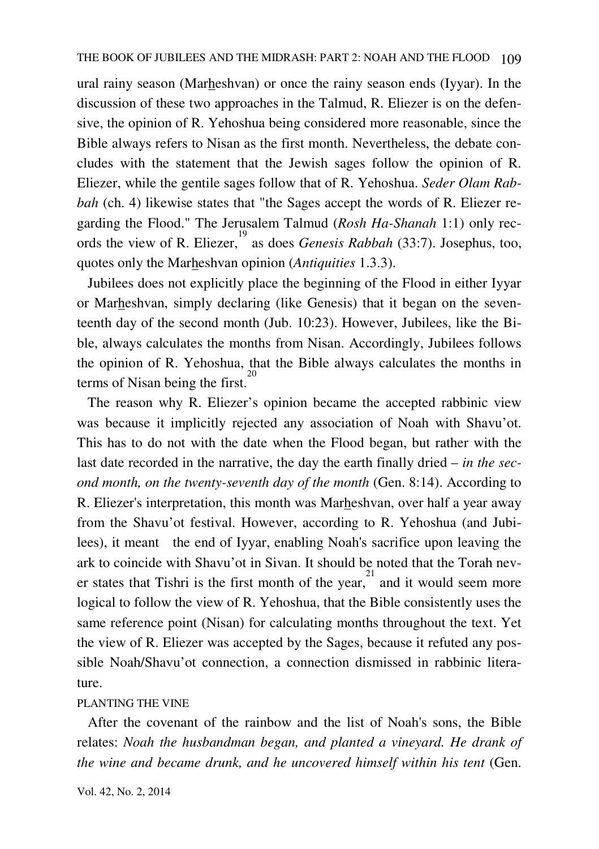ural rainy season (Marheshvan) or once the rainy season ends (Iyyar). In the discussion of these two approaches in the Talmud, R. Eliezer is on the defensive, the opinion of R. Yehoshua being considered more reasonable, since the Bible always refers to Nisan as the first month. Nevertheless, the debate concludes with the statement that the Jewish sages follow the opinion of R. Eliezer, while the gentile sages follow that of R. Yehoshua. *Seder Olam Rabbah* (ch. 4) likewise states that "the Sages accept the words of R. Eliezer regarding the Flood." The Jerusalem Talmud (*Rosh Ha-Shanah* 1:1) only records the view of R. Eliezer, 19 as does *Genesis Rabbah* (33:7). Josephus, too, quotes only the Marheshvan opinion (*Antiquities* 1.3.3).

 Jubilees does not explicitly place the beginning of the Flood in either Iyyar or Marheshvan, simply declaring (like Genesis) that it began on the seventeenth day of the second month (Jub. 10:23). However, Jubilees, like the Bible, always calculates the months from Nisan. Accordingly, Jubilees follows the opinion of R. Yehoshua, that the Bible always calculates the months in terms of Nisan being the first. 20

 The reason why R. Eliezer's opinion became the accepted rabbinic view was because it implicitly rejected any association of Noah with Shavu'ot. This has to do not with the date when the Flood began, but rather with the last date recorded in the narrative, the day the earth finally dried – *in the second month, on the twenty-seventh day of the month* (Gen. 8:14). According to R. Eliezer's interpretation, this month was Marheshvan, over half a year away from the Shavu'ot festival. However, according to R. Yehoshua (and Jubilees), it meant the end of Iyyar, enabling Noah's sacrifice upon leaving the ark to coincide with Shavu'ot in Sivan. It should be noted that the Torah never states that Tishri is the first month of the year,  $\frac{21}{2}$  and it would seem more logical to follow the view of R. Yehoshua, that the Bible consistently uses the same reference point (Nisan) for calculating months throughout the text. Yet the view of R. Eliezer was accepted by the Sages, because it refuted any possible Noah/Shavu'ot connection, a connection dismissed in rabbinic literature.

#### PLANTING THE VINE

 After the covenant of the rainbow and the list of Noah's sons, the Bible relates: *Noah the husbandman began, and planted a vineyard. He drank of the wine and became drunk, and he uncovered himself within his tent* (Gen.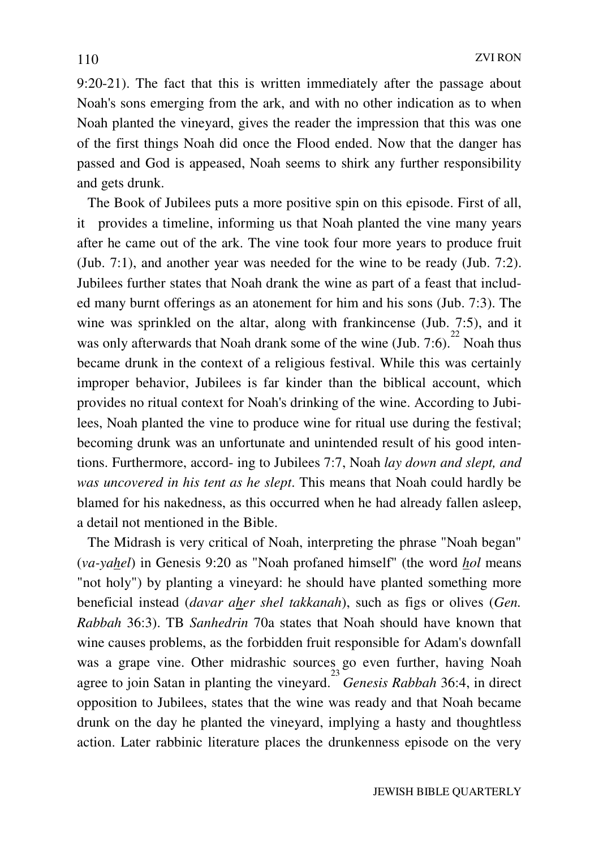9:20-21). The fact that this is written immediately after the passage about Noah's sons emerging from the ark, and with no other indication as to when Noah planted the vineyard, gives the reader the impression that this was one of the first things Noah did once the Flood ended. Now that the danger has passed and God is appeased, Noah seems to shirk any further responsibility and gets drunk.

 The Book of Jubilees puts a more positive spin on this episode. First of all, it provides a timeline, informing us that Noah planted the vine many years after he came out of the ark. The vine took four more years to produce fruit (Jub. 7:1), and another year was needed for the wine to be ready (Jub. 7:2). Jubilees further states that Noah drank the wine as part of a feast that included many burnt offerings as an atonement for him and his sons (Jub. 7:3). The wine was sprinkled on the altar, along with frankincense (Jub. 7:5), and it was only afterwards that Noah drank some of the wine  $\left(\text{Jub. } 7:6\right)^{22}$  Noah thus became drunk in the context of a religious festival. While this was certainly improper behavior, Jubilees is far kinder than the biblical account, which provides no ritual context for Noah's drinking of the wine. According to Jubilees, Noah planted the vine to produce wine for ritual use during the festival; becoming drunk was an unfortunate and unintended result of his good intentions. Furthermore, accord- ing to Jubilees 7:7, Noah *lay down and slept, and was uncovered in his tent as he slept*. This means that Noah could hardly be blamed for his nakedness, as this occurred when he had already fallen asleep, a detail not mentioned in the Bible.

The Midrash is very critical of Noah, interpreting the phrase "Noah began" (*va-yahel*) in Genesis 9:20 as "Noah profaned himself" (the word *hol* means "not holy") by planting a vineyard: he should have planted something more beneficial instead (*davar aher shel takkanah*), such as figs or olives (*Gen. Rabbah* 36:3). TB *Sanhedrin* 70a states that Noah should have known that wine causes problems, as the forbidden fruit responsible for Adam's downfall was a grape vine. Other midrashic sources go even further, having Noah agree to join Satan in planting the vineyard. 23 *Genesis Rabbah* 36:4, in direct opposition to Jubilees, states that the wine was ready and that Noah became drunk on the day he planted the vineyard, implying a hasty and thoughtless action. Later rabbinic literature places the drunkenness episode on the very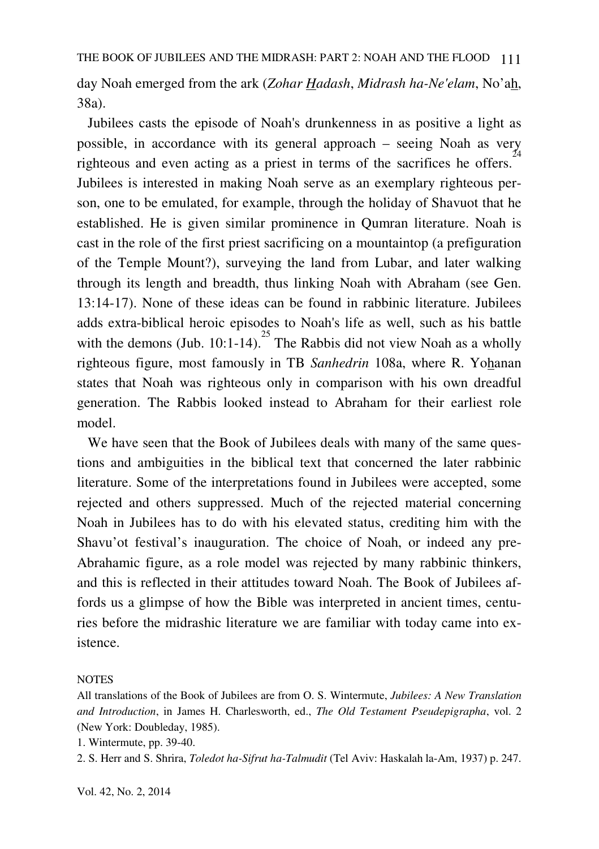day Noah emerged from the ark (*Zohar Hadash*, *Midrash ha-Ne'elam*, No'ah, 38a).

 Jubilees casts the episode of Noah's drunkenness in as positive a light as possible, in accordance with its general approach – seeing Noah as very righteous and even acting as a priest in terms of the sacrifices he offers.<sup>24</sup> Jubilees is interested in making Noah serve as an exemplary righteous person, one to be emulated, for example, through the holiday of Shavuot that he established. He is given similar prominence in Qumran literature. Noah is cast in the role of the first priest sacrificing on a mountaintop (a prefiguration of the Temple Mount?), surveying the land from Lubar, and later walking through its length and breadth, thus linking Noah with Abraham (see Gen. 13:14-17). None of these ideas can be found in rabbinic literature. Jubilees adds extra-biblical heroic episodes to Noah's life as well, such as his battle with the demons (Jub. 10:1-14).<sup>25</sup> The Rabbis did not view Noah as a wholly righteous figure, most famously in TB *Sanhedrin* 108a, where R. Yohanan states that Noah was righteous only in comparison with his own dreadful generation. The Rabbis looked instead to Abraham for their earliest role model.

 We have seen that the Book of Jubilees deals with many of the same questions and ambiguities in the biblical text that concerned the later rabbinic literature. Some of the interpretations found in Jubilees were accepted, some rejected and others suppressed. Much of the rejected material concerning Noah in Jubilees has to do with his elevated status, crediting him with the Shavu'ot festival's inauguration. The choice of Noah, or indeed any pre-Abrahamic figure, as a role model was rejected by many rabbinic thinkers, and this is reflected in their attitudes toward Noah. The Book of Jubilees affords us a glimpse of how the Bible was interpreted in ancient times, centuries before the midrashic literature we are familiar with today came into existence.

#### **NOTES**

All translations of the Book of Jubilees are from O. S. Wintermute, *Jubilees: A New Translation and Introduction*, in James H. Charlesworth, ed., *The Old Testament Pseudepigrapha*, vol. 2 (New York: Doubleday, 1985).

1. Wintermute, pp. 39-40.

2. S. Herr and S. Shrira, *Toledot ha-Sifrut ha-Talmudit* (Tel Aviv: Haskalah la-Am, 1937) p. 247.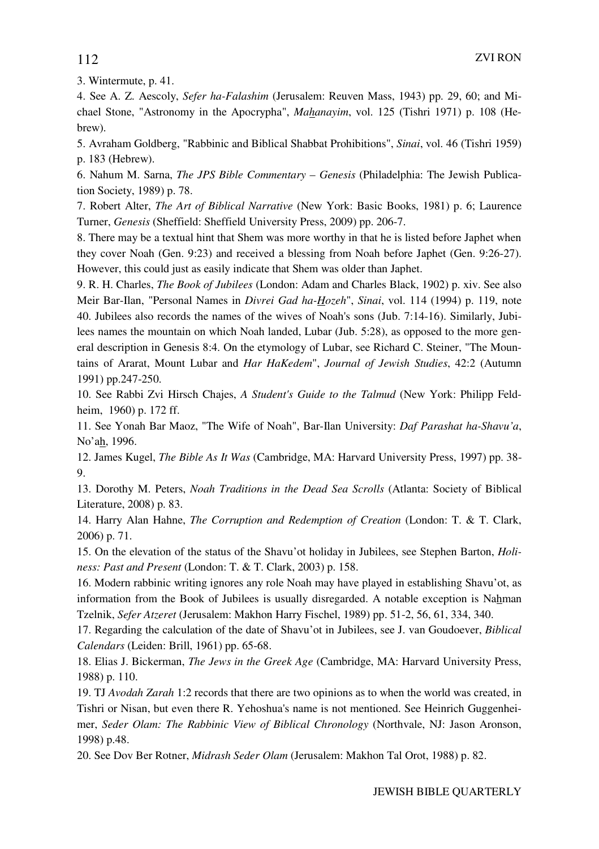3. Wintermute, p. 41.

4. See A. Z. Aescoly, *Sefer ha-Falashim* (Jerusalem: Reuven Mass, 1943) pp. 29, 60; and Michael Stone, "Astronomy in the Apocrypha", *Mahanayim*, vol. 125 (Tishri 1971) p. 108 (Hebrew).

5. Avraham Goldberg, "Rabbinic and Biblical Shabbat Prohibitions", *Sinai*, vol. 46 (Tishri 1959) p. 183 (Hebrew).

6. Nahum M. Sarna, *The JPS Bible Commentary – Genesis* (Philadelphia: The Jewish Publication Society, 1989) p. 78.

7. Robert Alter, *The Art of Biblical Narrative* (New York: Basic Books, 1981) p. 6; Laurence Turner, *Genesis* (Sheffield: Sheffield University Press, 2009) pp. 206-7.

8. There may be a textual hint that Shem was more worthy in that he is listed before Japhet when they cover Noah (Gen. 9:23) and received a blessing from Noah before Japhet (Gen. 9:26-27). However, this could just as easily indicate that Shem was older than Japhet.

9. R. H. Charles, *The Book of Jubilees* (London: Adam and Charles Black, 1902) p. xiv. See also Meir Bar-Ilan, "Personal Names in *Divrei Gad ha-Hozeh*", *Sinai*, vol. 114 (1994) p. 119, note 40. Jubilees also records the names of the wives of Noah's sons (Jub. 7:14-16). Similarly, Jubilees names the mountain on which Noah landed, Lubar (Jub. 5:28), as opposed to the more general description in Genesis 8:4. On the etymology of Lubar, see Richard C. Steiner, "The Mountains of Ararat, Mount Lubar and *Har HaKedem*", *Journal of Jewish Studies*, 42:2 (Autumn 1991) pp.247-250.

10. See Rabbi Zvi Hirsch Chajes, *A Student's Guide to the Talmud* (New York: Philipp Feldheim, 1960) p. 172 ff.

11. See Yonah Bar Maoz, "The Wife of Noah", Bar-Ilan University: *Daf Parashat ha-Shavu'a*, No'ah, 1996.

12. James Kugel, *The Bible As It Was* (Cambridge, MA: Harvard University Press, 1997) pp. 38- 9.

13. Dorothy M. Peters, *Noah Traditions in the Dead Sea Scrolls* (Atlanta: Society of Biblical Literature, 2008) p. 83.

14. Harry Alan Hahne, *The Corruption and Redemption of Creation* (London: T. & T. Clark, 2006) p. 71.

15. On the elevation of the status of the Shavu'ot holiday in Jubilees, see Stephen Barton, *Holiness: Past and Present* (London: T. & T. Clark, 2003) p. 158.

16. Modern rabbinic writing ignores any role Noah may have played in establishing Shavu'ot, as information from the Book of Jubilees is usually disregarded. A notable exception is Nahman Tzelnik, *Sefer Atzeret* (Jerusalem: Makhon Harry Fischel, 1989) pp. 51-2, 56, 61, 334, 340.

17. Regarding the calculation of the date of Shavu'ot in Jubilees, see J. van Goudoever, *Biblical Calendars* (Leiden: Brill, 1961) pp. 65-68.

18. Elias J. Bickerman, *The Jews in the Greek Age* (Cambridge, MA: Harvard University Press, 1988) p. 110.

19. TJ *Avodah Zarah* 1:2 records that there are two opinions as to when the world was created, in Tishri or Nisan, but even there R. Yehoshua's name is not mentioned. See Heinrich Guggenheimer, *Seder Olam: The Rabbinic View of Biblical Chronology* (Northvale, NJ: Jason Aronson, 1998) p.48.

20. See Dov Ber Rotner, *Midrash Seder Olam* (Jerusalem: Makhon Tal Orot, 1988) p. 82.